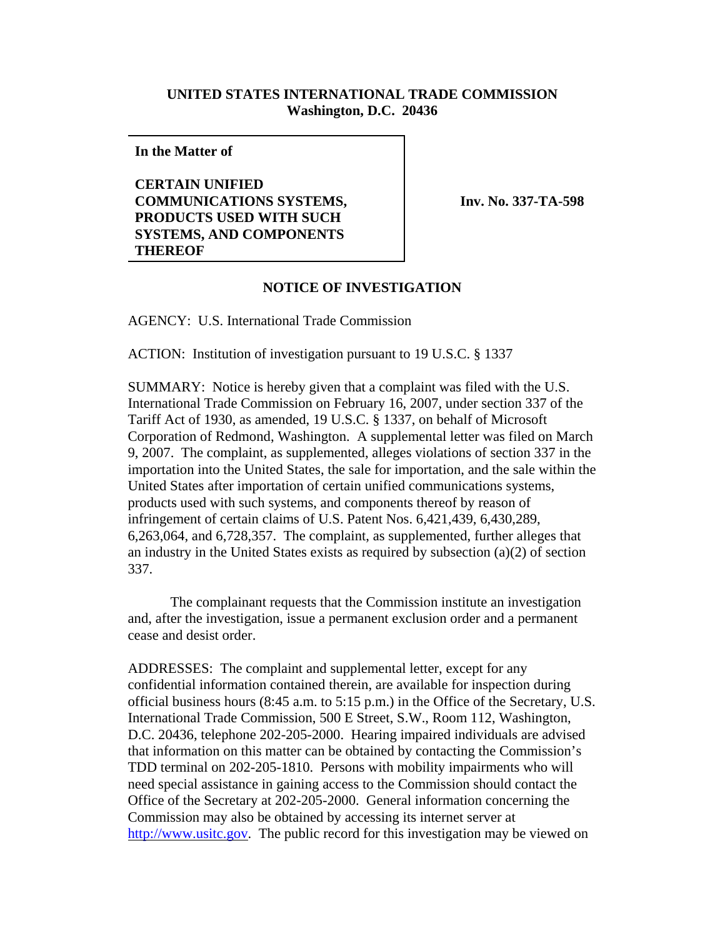## **UNITED STATES INTERNATIONAL TRADE COMMISSION Washington, D.C. 20436**

**In the Matter of**

**CERTAIN UNIFIED COMMUNICATIONS SYSTEMS, PRODUCTS USED WITH SUCH SYSTEMS, AND COMPONENTS THEREOF**

**Inv. No. 337-TA-598**

## **NOTICE OF INVESTIGATION**

AGENCY: U.S. International Trade Commission

ACTION: Institution of investigation pursuant to 19 U.S.C. § 1337

SUMMARY: Notice is hereby given that a complaint was filed with the U.S. International Trade Commission on February 16, 2007, under section 337 of the Tariff Act of 1930, as amended, 19 U.S.C. § 1337, on behalf of Microsoft Corporation of Redmond, Washington. A supplemental letter was filed on March 9, 2007. The complaint, as supplemented, alleges violations of section 337 in the importation into the United States, the sale for importation, and the sale within the United States after importation of certain unified communications systems, products used with such systems, and components thereof by reason of infringement of certain claims of U.S. Patent Nos. 6,421,439, 6,430,289, 6,263,064, and 6,728,357. The complaint, as supplemented, further alleges that an industry in the United States exists as required by subsection (a)(2) of section 337.

The complainant requests that the Commission institute an investigation and, after the investigation, issue a permanent exclusion order and a permanent cease and desist order.

ADDRESSES: The complaint and supplemental letter, except for any confidential information contained therein, are available for inspection during official business hours (8:45 a.m. to 5:15 p.m.) in the Office of the Secretary, U.S. International Trade Commission, 500 E Street, S.W., Room 112, Washington, D.C. 20436, telephone 202-205-2000. Hearing impaired individuals are advised that information on this matter can be obtained by contacting the Commission's TDD terminal on 202-205-1810. Persons with mobility impairments who will need special assistance in gaining access to the Commission should contact the Office of the Secretary at 202-205-2000. General information concerning the Commission may also be obtained by accessing its internet server at http://www.usitc.gov. The public record for this investigation may be viewed on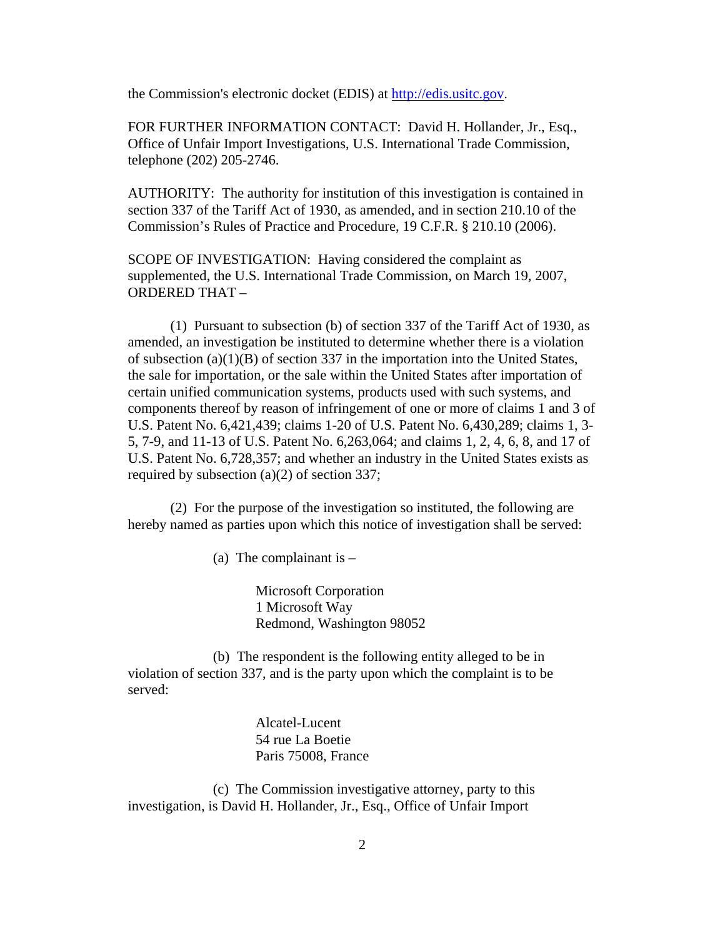the Commission's electronic docket (EDIS) at http://edis.usitc.gov.

FOR FURTHER INFORMATION CONTACT: David H. Hollander, Jr., Esq., Office of Unfair Import Investigations, U.S. International Trade Commission, telephone (202) 205-2746.

AUTHORITY: The authority for institution of this investigation is contained in section 337 of the Tariff Act of 1930, as amended, and in section 210.10 of the Commission's Rules of Practice and Procedure, 19 C.F.R. § 210.10 (2006).

SCOPE OF INVESTIGATION: Having considered the complaint as supplemented, the U.S. International Trade Commission, on March 19, 2007, ORDERED THAT –

(1) Pursuant to subsection (b) of section 337 of the Tariff Act of 1930, as amended, an investigation be instituted to determine whether there is a violation of subsection (a)(1)(B) of section 337 in the importation into the United States, the sale for importation, or the sale within the United States after importation of certain unified communication systems, products used with such systems, and components thereof by reason of infringement of one or more of claims 1 and 3 of U.S. Patent No. 6,421,439; claims 1-20 of U.S. Patent No. 6,430,289; claims 1, 3- 5, 7-9, and 11-13 of U.S. Patent No. 6,263,064; and claims 1, 2, 4, 6, 8, and 17 of U.S. Patent No. 6,728,357; and whether an industry in the United States exists as required by subsection (a)(2) of section 337;

(2) For the purpose of the investigation so instituted, the following are hereby named as parties upon which this notice of investigation shall be served:

(a) The complainant is  $-$ 

Microsoft Corporation 1 Microsoft Way Redmond, Washington 98052

(b) The respondent is the following entity alleged to be in violation of section 337, and is the party upon which the complaint is to be served:

> Alcatel-Lucent 54 rue La Boetie Paris 75008, France

(c) The Commission investigative attorney, party to this investigation, is David H. Hollander, Jr., Esq., Office of Unfair Import